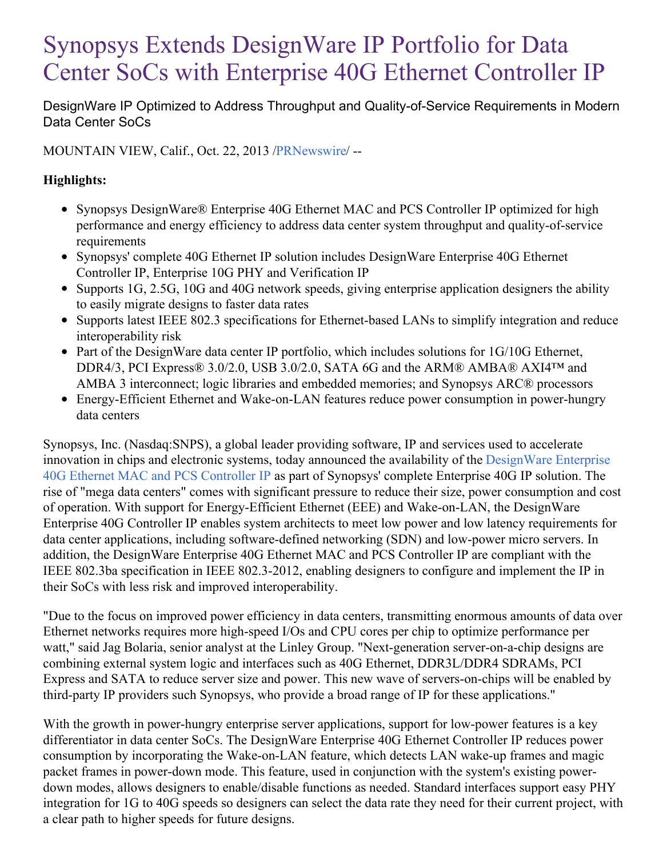# Synopsys Extends DesignWare IP Portfolio for Data Center SoCs with Enterprise 40G Ethernet Controller IP

DesignWare IP Optimized to Address Throughput and Quality-of-Service Requirements in Modern Data Center SoCs

MOUNTAIN VIEW, Calif., Oct. 22, 2013 [/PRNewswire](http://www.prnewswire.com/)/ --

### **Highlights:**

- Synopsys DesignWare® Enterprise 40G Ethernet MAC and PCS Controller IP optimized for high performance and energy efficiency to address data center system throughput and quality-of-service requirements
- Synopsys' complete 40G Ethernet IP solution includes DesignWare Enterprise 40G Ethernet Controller IP, Enterprise 10G PHY and Verification IP
- Supports 1G, 2.5G, 10G and 40G network speeds, giving enterprise application designers the ability to easily migrate designs to faster data rates
- Supports latest IEEE 802.3 specifications for Ethernet-based LANs to simplify integration and reduce interoperability risk
- Part of the DesignWare data center IP portfolio, which includes solutions for 1G/10G Ethernet, DDR4/3, PCI Express® 3.0/2.0, USB 3.0/2.0, SATA 6G and the ARM® AMBA® AXI4™ and AMBA 3 interconnect; logic libraries and embedded memories; and Synopsys ARC® processors
- Energy-Efficient Ethernet and Wake-on-LAN features reduce power consumption in power-hungry data centers

Synopsys, Inc. (Nasdaq:SNPS), a global leader providing software, IP and services used to accelerate innovation in chips and electronic systems, today announced the availability of the [DesignWare](http://www.synopsys.com/IP/InterfaceIP/Ethernet/Pages/dw-enterprise-40g-ethernet-controller-ip.aspx) Enterprise 40G Ethernet MAC and PCS Controller IP as part of Synopsys' complete Enterprise 40G IP solution. The rise of "mega data centers" comes with significant pressure to reduce their size, power consumption and cost of operation. With support for Energy-Efficient Ethernet (EEE) and Wake-on-LAN, the DesignWare Enterprise 40G Controller IP enables system architects to meet low power and low latency requirements for data center applications, including software-defined networking (SDN) and low-power micro servers. In addition, the DesignWare Enterprise 40G Ethernet MAC and PCS Controller IP are compliant with the IEEE 802.3ba specification in IEEE 802.3-2012, enabling designers to configure and implement the IP in their SoCs with less risk and improved interoperability.

"Due to the focus on improved power efficiency in data centers, transmitting enormous amounts of data over Ethernet networks requires more high-speed I/Os and CPU cores per chip to optimize performance per watt," said Jag Bolaria, senior analyst at the Linley Group. "Next-generation server-on-a-chip designs are combining external system logic and interfaces such as 40G Ethernet, DDR3L/DDR4 SDRAMs, PCI Express and SATA to reduce server size and power. This new wave of servers-on-chips will be enabled by third-party IP providers such Synopsys, who provide a broad range of IP for these applications."

With the growth in power-hungry enterprise server applications, support for low-power features is a key differentiator in data center SoCs. The DesignWare Enterprise 40G Ethernet Controller IP reduces power consumption by incorporating the Wake-on-LAN feature, which detects LAN wake-up frames and magic packet frames in power-down mode. This feature, used in conjunction with the system's existing powerdown modes, allows designers to enable/disable functions as needed. Standard interfaces support easy PHY integration for 1G to 40G speeds so designers can select the data rate they need for their current project, with a clear path to higher speeds for future designs.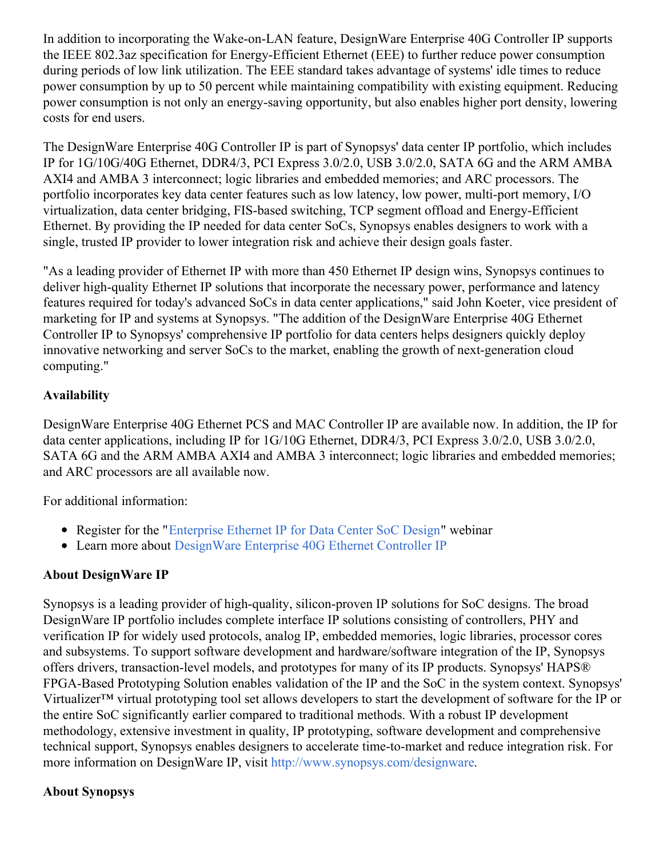In addition to incorporating the Wake-on-LAN feature, DesignWare Enterprise 40G Controller IP supports the IEEE 802.3az specification for Energy-Efficient Ethernet (EEE) to further reduce power consumption during periods of low link utilization. The EEE standard takes advantage of systems' idle times to reduce power consumption by up to 50 percent while maintaining compatibility with existing equipment. Reducing power consumption is not only an energy-saving opportunity, but also enables higher port density, lowering costs for end users.

The DesignWare Enterprise 40G Controller IP is part of Synopsys' data center IP portfolio, which includes IP for 1G/10G/40G Ethernet, DDR4/3, PCI Express 3.0/2.0, USB 3.0/2.0, SATA 6G and the ARM AMBA AXI4 and AMBA 3 interconnect; logic libraries and embedded memories; and ARC processors. The portfolio incorporates key data center features such as low latency, low power, multi-port memory, I/O virtualization, data center bridging, FIS-based switching, TCP segment offload and Energy-Efficient Ethernet. By providing the IP needed for data center SoCs, Synopsys enables designers to work with a single, trusted IP provider to lower integration risk and achieve their design goals faster.

"As a leading provider of Ethernet IP with more than 450 Ethernet IP design wins, Synopsys continues to deliver high-quality Ethernet IP solutions that incorporate the necessary power, performance and latency features required for today's advanced SoCs in data center applications," said John Koeter, vice president of marketing for IP and systems at Synopsys. "The addition of the DesignWare Enterprise 40G Ethernet Controller IP to Synopsys' comprehensive IP portfolio for data centers helps designers quickly deploy innovative networking and server SoCs to the market, enabling the growth of next-generation cloud computing."

### **Availability**

DesignWare Enterprise 40G Ethernet PCS and MAC Controller IP are available now. In addition, the IP for data center applications, including IP for 1G/10G Ethernet, DDR4/3, PCI Express 3.0/2.0, USB 3.0/2.0, SATA 6G and the ARM AMBA AXI4 and AMBA 3 interconnect; logic libraries and embedded memories; and ARC processors are all available now.

For additional information:

- Register for the ["Enterprise](http://seminar2.techonline.com/registration/distrib.cgi?s=2075&d=4112) Ethernet IP for Data Center SoC Design" webinar
- Learn more about [DesignWare](http://www.synopsys.com/IP/InterfaceIP/Ethernet/Pages/dw-enterprise-40g-ethernet-controller-ip.aspx) Enterprise 40G Ethernet Controller IP

# **About DesignWare IP**

Synopsys is a leading provider of high-quality, silicon-proven IP solutions for SoC designs. The broad DesignWare IP portfolio includes complete interface IP solutions consisting of controllers, PHY and verification IP for widely used protocols, analog IP, embedded memories, logic libraries, processor cores and subsystems. To support software development and hardware/software integration of the IP, Synopsys offers drivers, transaction-level models, and prototypes for many of its IP products. Synopsys' HAPS® FPGA-Based Prototyping Solution enables validation of the IP and the SoC in the system context. Synopsys' Virtualizer™ virtual prototyping tool set allows developers to start the development of software for the IP or the entire SoC significantly earlier compared to traditional methods. With a robust IP development methodology, extensive investment in quality, IP prototyping, software development and comprehensive technical support, Synopsys enables designers to accelerate time-to-market and reduce integration risk. For more information on DesignWare IP, visit <http://www.synopsys.com/designware>.

# **About Synopsys**